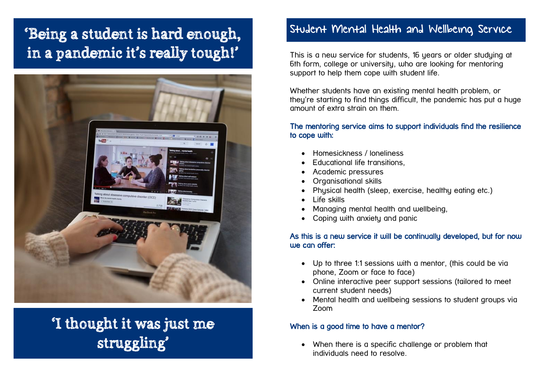## 'Being a student is hard enough, in a pandemic it's really tough!'



## 'I thought it was just me struggling'

### Student Mental Health and Wellbeing Service

This is a new service for students, 16 years or older studying at 6th form, college or university, who are looking for mentoring support to help them cope with student life.

Whether students have an existing mental health problem, or they're starting to find things difficult, the pandemic has put a huge amount of extra strain on them.

#### The mentoring service aims to support individuals find the resilience to cope with:

- Homesickness / loneliness
- Educational life transitions,
- Academic pressures
- Organisational skills
- Physical health (sleep, exercise, healthy eating etc.)
- Life skills
- Managing mental health and wellbeing,
- Coping with anxiety and panic

#### As this is a new service it will be continually developed, but for now we can offer:

- Up to three 1:1 sessions with a mentor, (this could be via phone, Zoom or face to face)
- Online interactive peer support sessions (tailored to meet current student needs)
- Mental health and wellbeing sessions to student groups via Zoom

#### When is a good time to have a mentor?

 When there is a specific challenge or problem that individuals need to resolve.